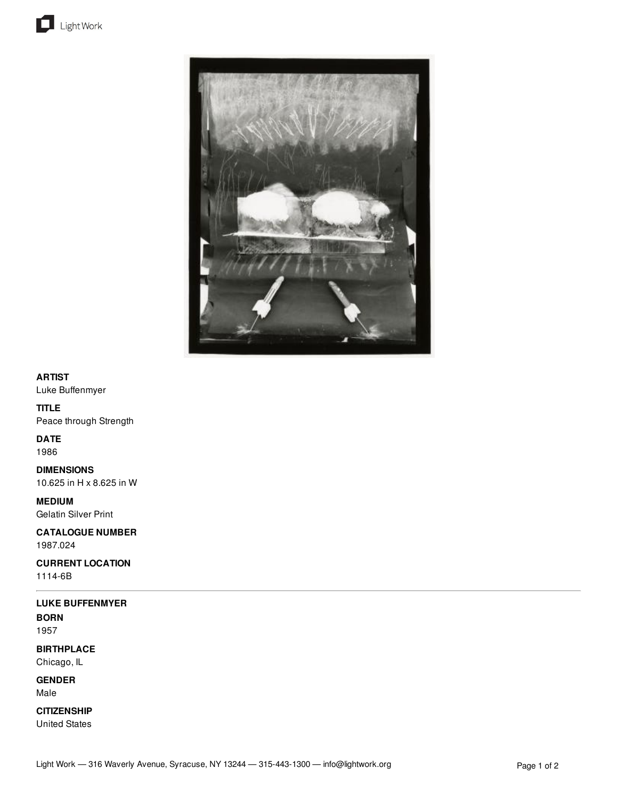



## **ARTIST**

Luke Buffenmyer

## **TITLE**

Peace through Strength

# **DATE**

1986

**DIMENSIONS** 10.625 in H x 8.625 in W

**MEDIUM** Gelatin Silver Print

**CATALOGUE NUMBER** 1987.024

**CURRENT LOCATION**

1114-6B

# **LUKE BUFFENMYER**

**BORN** 1957

**BIRTHPLACE**

Chicago, IL

**GENDER** Male

**CITIZENSHIP**

United States